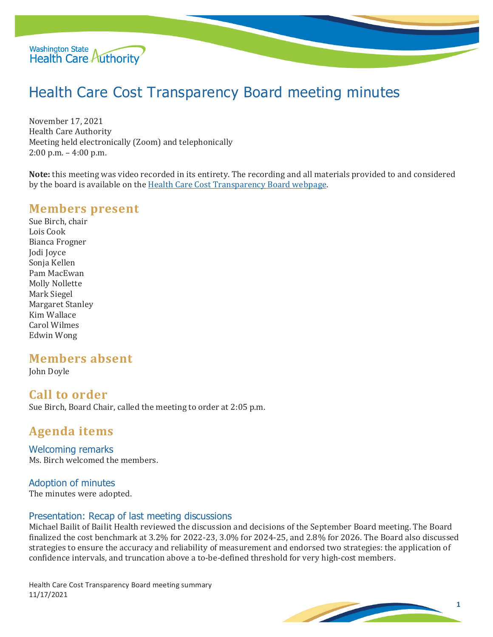

# Health Care Cost Transparency Board meeting minutes

November 17, 2021 Health Care Authority Meeting held electronically (Zoom) and telephonically 2:00 p.m. – 4:00 p.m.

**Note:** this meeting was video recorded in its entirety. The recording and all materials provided to and considered by the board is available on the [Health Care Cost Transparency Board webpage.](https://www.hca.wa.gov/about-hca/health-care-cost-transparency-board)

## **Members present**

Sue Birch, chair Lois Cook Bianca Frogner Jodi Joyce Sonja Kellen Pam MacEwan Molly Nollette Mark Siegel Margaret Stanley Kim Wallace Carol Wilmes Edwin Wong

## **Members absent**

John Doyle

## **Call to order**

Sue Birch, Board Chair, called the meeting to order at 2:05 p.m.

## **Agenda items**

Welcoming remarks Ms. Birch welcomed the members.

#### Adoption of minutes

The minutes were adopted.

#### Presentation: Recap of last meeting discussions

Michael Bailit of Bailit Health reviewed the discussion and decisions of the September Board meeting. The Board finalized the cost benchmark at 3.2% for 2022-23, 3.0% for 2024-25, and 2.8% for 2026. The Board also discussed strategies to ensure the accuracy and reliability of measurement and endorsed two strategies: the application of confidence intervals, and truncation above a to-be-defined threshold for very high-cost members.

Health Care Cost Transparency Board meeting summary 11/17/2021

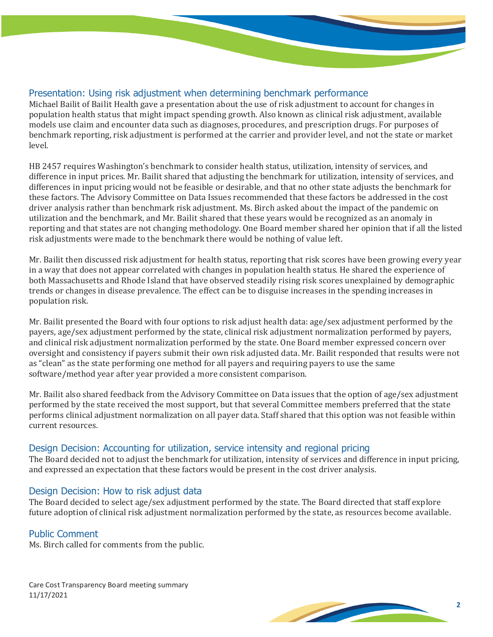#### Presentation: Using risk adjustment when determining benchmark performance

Michael Bailit of Bailit Health gave a presentation about the use of risk adjustment to account for changes in population health status that might impact spending growth. Also known as clinical risk adjustment, available models use claim and encounter data such as diagnoses, procedures, and prescription drugs. For purposes of benchmark reporting, risk adjustment is performed at the carrier and provider level, and not the state or market level.

HB 2457 requires Washington's benchmark to consider health status, utilization, intensity of services, and difference in input prices. Mr. Bailit shared that adjusting the benchmark for utilization, intensity of services, and differences in input pricing would not be feasible or desirable, and that no other state adjusts the benchmark for these factors. The Advisory Committee on Data Issues recommended that these factors be addressed in the cost driver analysis rather than benchmark risk adjustment. Ms. Birch asked about the impact of the pandemic on utilization and the benchmark, and Mr. Bailit shared that these years would be recognized as an anomaly in reporting and that states are not changing methodology. One Board member shared her opinion that if all the listed risk adjustments were made to the benchmark there would be nothing of value left.

Mr. Bailit then discussed risk adjustment for health status, reporting that risk scores have been growing every year in a way that does not appear correlated with changes in population health status. He shared the experience of both Massachusetts and Rhode Island that have observed steadily rising risk scores unexplained by demographic trends or changes in disease prevalence. The effect can be to disguise increases in the spending increases in population risk.

Mr. Bailit presented the Board with four options to risk adjust health data: age/sex adjustment performed by the payers, age/sex adjustment performed by the state, clinical risk adjustment normalization performed by payers, and clinical risk adjustment normalization performed by the state. One Board member expressed concern over oversight and consistency if payers submit their own risk adjusted data. Mr. Bailit responded that results were not as "clean" as the state performing one method for all payers and requiring payers to use the same software/method year after year provided a more consistent comparison.

Mr. Bailit also shared feedback from the Advisory Committee on Data issues that the option of age/sex adjustment performed by the state received the most support, but that several Committee members preferred that the state performs clinical adjustment normalization on all payer data. Staff shared that this option was not feasible within current resources.

#### Design Decision: Accounting for utilization, service intensity and regional pricing

The Board decided not to adjust the benchmark for utilization, intensity of services and difference in input pricing, and expressed an expectation that these factors would be present in the cost driver analysis.

#### Design Decision: How to risk adjust data

The Board decided to select age/sex adjustment performed by the state. The Board directed that staff explore future adoption of clinical risk adjustment normalization performed by the state, as resources become available.

#### Public Comment

Ms. Birch called for comments from the public.

Care Cost Transparency Board meeting summary 11/17/2021

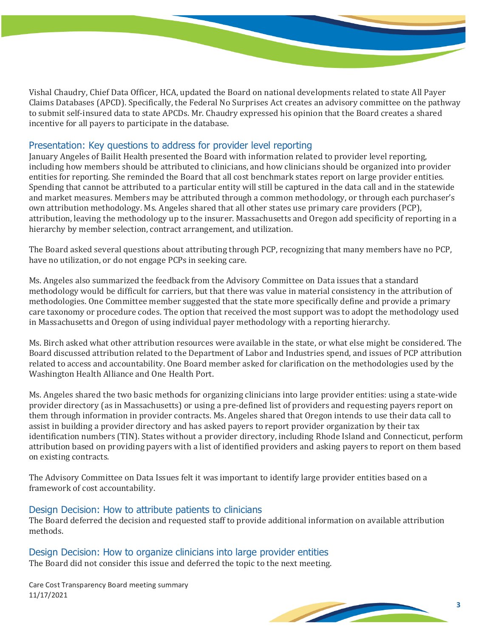Vishal Chaudry, Chief Data Officer, HCA, updated the Board on national developments related to state All Payer Claims Databases (APCD). Specifically, the Federal No Surprises Act creates an advisory committee on the pathway to submit self-insured data to state APCDs. Mr. Chaudry expressed his opinion that the Board creates a shared incentive for all payers to participate in the database.

#### Presentation: Key questions to address for provider level reporting

January Angeles of Bailit Health presented the Board with information related to provider level reporting, including how members should be attributed to clinicians, and how clinicians should be organized into provider entities for reporting. She reminded the Board that all cost benchmark states report on large provider entities. Spending that cannot be attributed to a particular entity will still be captured in the data call and in the statewide and market measures. Members may be attributed through a common methodology, or through each purchaser's own attribution methodology. Ms. Angeles shared that all other states use primary care providers (PCP), attribution, leaving the methodology up to the insurer. Massachusetts and Oregon add specificity of reporting in a hierarchy by member selection, contract arrangement, and utilization.

The Board asked several questions about attributing through PCP, recognizing that many members have no PCP, have no utilization, or do not engage PCPs in seeking care.

Ms. Angeles also summarized the feedback from the Advisory Committee on Data issues that a standard methodology would be difficult for carriers, but that there was value in material consistency in the attribution of methodologies. One Committee member suggested that the state more specifically define and provide a primary care taxonomy or procedure codes. The option that received the most support was to adopt the methodology used in Massachusetts and Oregon of using individual payer methodology with a reporting hierarchy.

Ms. Birch asked what other attribution resources were available in the state, or what else might be considered. The Board discussed attribution related to the Department of Labor and Industries spend, and issues of PCP attribution related to access and accountability. One Board member asked for clarification on the methodologies used by the Washington Health Alliance and One Health Port.

Ms. Angeles shared the two basic methods for organizing clinicians into large provider entities: using a state-wide provider directory (as in Massachusetts) or using a pre-defined list of providers and requesting payers report on them through information in provider contracts. Ms. Angeles shared that Oregon intends to use their data call to assist in building a provider directory and has asked payers to report provider organization by their tax identification numbers (TIN). States without a provider directory, including Rhode Island and Connecticut, perform attribution based on providing payers with a list of identified providers and asking payers to report on them based on existing contracts.

The Advisory Committee on Data Issues felt it was important to identify large provider entities based on a framework of cost accountability.

#### Design Decision: How to attribute patients to clinicians

The Board deferred the decision and requested staff to provide additional information on available attribution methods.

#### Design Decision: How to organize clinicians into large provider entities

The Board did not consider this issue and deferred the topic to the next meeting.

Care Cost Transparency Board meeting summary 11/17/2021